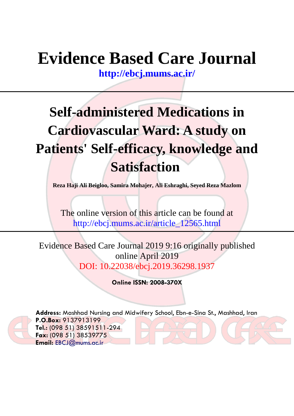# **Evidence Based Care Journal**

**<http://ebcj.mums.ac.ir/>**

# **Self-administered Medications in Cardiovascular Ward: A study on Patients' Self-efficacy, knowledge and Satisfaction**

**Reza Haji Ali Beigloo, Samira Mohajer, Ali Eshraghi, Seyed Reza Mazlom** 

The online version of this article can be found at http://ebcj.mums.ac.ir/article\_12565.html

Evidence Based Care Journal 2019 9:16 originally published online April 2019 DOI: 10.22038/ebcj.2019.36298.1937

**Online ISSN: 2008-370X**



**Address:** Mashhad Nursing and Midwifery School, Ebn-e-Sina St., Mashhad, Iran **P.O.Box:** 9137913199 **Tel.:** (098 51) 38591511-294 **Fax:** (098 51) 38539775 **Email:** [EBCJ@mums.ac.ir](mailto:EBCJ@mums.ac.ir)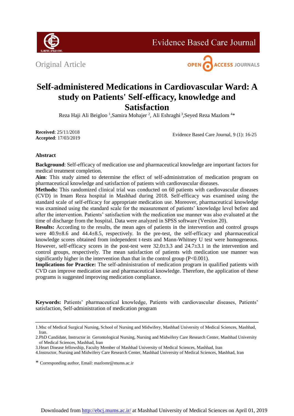

**Evidence Based Care Journal** 

Original Article



# **Self-administered Medications in Cardiovascular Ward: A study on Patients' Self-efficacy, knowledge and Satisfaction**

Reza Haji Ali Beigloo <sup>1</sup>, Samira Mohajer <sup>2</sup>, Ali Eshraghi <sup>3</sup>, Seyed Reza Mazlom <sup>4\*</sup>

**Received**: 25/11/2018 **Accepted**: 17/03/2019

Evidence Based Care Journal, 9 (1): 16-25

# **Abstract**

**Background**: Self-efficacy of medication use and pharmaceutical knowledge are important factors for medical treatment completion.

**Aim**: This study aimed to determine the effect of self-administration of medication program on pharmaceutical knowledge and satisfaction of patients with cardiovascular diseases.

**Methods:** This randomized clinical trial was conducted on 60 patients with cardiovascular diseases (CVD) in Imam Reza hospital in Mashhad during 2018. Self-efficacy was examined using the standard scale of self-efficacy for appropriate medication use. Moreover, pharmaceutical knowledge was examined using the standard scale for the measurement of patients' knowledge level before and after the intervention. Patients' satisfaction with the medication use manner was also evaluated at the time of discharge from the hospital. Data were analyzed in SPSS software (Version 20).

**Results:** According to the results, the mean ages of patients in the intervention and control groups were 40.9 $\pm$ 8.6 and 44.4 $\pm$ 8.5, respectively. In the pre-test, the self-efficacy and pharmaceutical knowledge scores obtained from independent t-tests and Mann-Whitney U test were homogeneous. However, self-efficacy scores in the post-test were  $32.0\pm3.3$  and  $24.7\pm3.1$  in the intervention and control groups, respectively. The mean satisfaction of patients with medication use manner was significantly higher in the intervention than that in the control group (P<0.001).

**Implications for Practice:** The self-administration of medication program in qualified patients with CVD can improve medication use and pharmaceutical knowledge. Therefore, the application of these programs is suggested improving medication compliance.

**Keywords:** Patients' pharmaceutical knowledge, Patients with cardiovascular diseases, Patients' satisfaction, Self-administration of medication program

4.Instructor, Nursing and Midwifery Care Research Center, Mashhad University of Medical Sciences, Mashhad, Iran

\* Corresponding author, Email[: mazlomr@mums.ac.ir](mailto:mazlomr@mums.ac.ir)

<sup>1.</sup>Msc of Medical Surgical Nursing, School of Nursing and Midwifery, Mashhad University of Medical Sciences, Mashhad, Iran.

<sup>2.</sup>PhD Candidate, Instructor in Gerontological Nursing, Nursing and Midwifery Care Research Center, Mashhad University of Medical Sciences, Mashhad, Iran

<sup>3.</sup>Heart Disease fellowship, Faculty Member of Mashhad University of Medical Sciences, Mashhad, Iran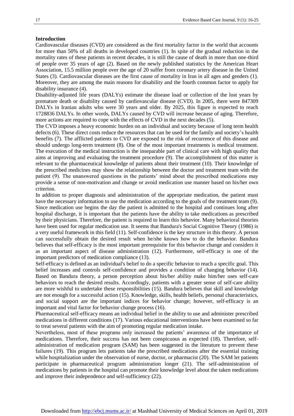#### **Introduction**

Cardiovascular diseases (CVD) are considered as the first mortality factor in the world that accounts for more than 50% of all deaths in developed countries (1). In spite of the gradual reduction in the mortality rates of these patients in recent decades, it is still the cause of death in more than one-third of people over 35 years of age (2). Based on the newly published statistics by the American Heart Association, 15.5 million people over the age of 20 suffer from coronary artery disease in the United States (3). Cardiovascular diseases are the first cause of mortality in Iran in all ages and genders (1). Moreover, they are among the main reasons for disability and the fourth common factor to apply for disability insurance (4).

Disability-adjusted life years (DALYs) estimate the disease load or collection of the lost years by premature death or disability caused by cardiovascular disease (CVD). In 2005, there were 847309 DALYs in Iranian adults who were 30 years and older. By 2025, this figure is expected to reach 1728836 DALYs. In other words, DALYs caused by CVD will increase because of aging. Therefore, more actions are required to cope with the effects of CVD in the next decades (5).

The CVD imposes a heavy economic burden on an individual and society because of long term health defects (6). These direct costs reduce the resources that can be used for the family and society's health benefits (7). The afflicted patients to CVD are exposed to the risk of recurrence of this disease and should undergo long-term treatment (8). One of the most important treatments is medical treatment. The execution of the medical instruction is the inseparable part of clinical care with high quality that aims at improving and evaluating the treatment procedure (9). The accomplishment of this matter is relevant to the pharmaceutical knowledge of patients about their treatment (10). Their knowledge of the prescribed medicines may show the relationship between the doctor and treatment team with the patient (9). The unanswered questions in the patients' mind about the prescribed medications may provide a sense of non-motivation and change or avoid medication use manner based on his/her own criterion.

In addition to proper diagnosis and administration of the appropriate medication, the patient must have the necessary information to use the medication according to the goals of the treatment team (9). Since medication use begins the day the patient is admitted to the hospital and continues long after hospital discharge, it is important that the patients have the ability to take medications as prescribed by their physicians. Therefore, the patient is required to learn this behavior. Many behavioral theories have been used for regular medication use. It seems that Bandura's Social Cognitive Theory (1986) is a very useful framework in this field (11). Self-confidence is the key structure in this theory. A person can successfully obtain the desired result when he/she knows how to do the behavior. Bandura believes that self-efficacy is the most important prerequisite for this behavior change and considers it as an important aspect of disease administration (12). Furthermore, self-efficacy is one of the important predictors of medication compliance (13).

Self-efficacy is defined as an individual's belief to do a specific behavior to reach a specific goal. This belief increases and controls self-confidence and provides a condition of changing behavior (14). Based on Bandura theory, a person perception about his/her ability make him/her uses self-care behaviors to reach the desired results. Accordingly, patients with a greater sense of self-care ability are more wishful to undertake these responsibilities (15). Bandura believes that skill and knowledge are not enough for a successful action (15). Knowledge, skills, health beliefs, personal characteristics, and social support are the important indices for behavior change; however, self-efficacy is an important and vital factor for behavior change process (16).

Pharmaceutical self-efficacy means an individual belief in the ability to use and administer prescribed medications in different conditions (17). Various educational interventions have been examined so far to treat several patients with the aim of promoting regular medication intake.

Nevertheless, most of these programs only increased the patients' awareness of the importance of medications. Therefore, their success has not been conspicuous as expected (18). Therefore, selfadministration of medication program (SAM) has been suggested in the literature to prevent these failures (19). This program lets patients take the prescribed medications after the essential training while hospitalization under the observation of nurse, doctor, or pharmacist (20). The SAM let patients participate in pharmaceutical program administration longer (21). The self-administration of medications by patients in the hospital can promote their knowledge level about the taken medications and improve their independence and self-sufficiency (22).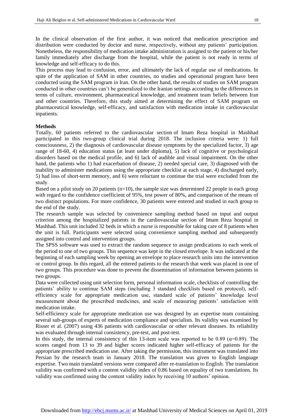In the clinical observation of the first author, it was noticed that medication prescription and distribution were conducted by doctor and nurse, respectively, without any patients' participation. Nonetheless, the responsibility of medication intake administration is assigned to the patient or his/her family immediately after discharge from the hospital, while the patient is not ready in terms of knowledge and self-efficacy to do this.

This process may lead to confusion, error, and ultimately the lack of regular use of medications. In spite of the application of SAM in other countries, no studies and operational program have been conducted using the SAM program in Iran. On the other hand, the results of studies on SAM program conducted in other countries can't be generalized to the Iranian settings according to the differences in terms of culture, environment, pharmaceutical knowledge, and treatment team beliefs between Iran and other countries. Therefore, this study aimed at determining the effect of SAM program on pharmaceutical knowledge, self-efficacy, and satisfaction with medication intake in cardiovascular inpatients.

# **Methods**

Totally, 60 patients referred to the cardiovascular section of Imam Reza hospital in Mashhad participated in this two-group clinical trial during 2018. The inclusion criteria were: 1) full consciousness, 2) the diagnosis of cardiovascular disease symptoms by the specialized factor, 3) age range of 18-60, 4) education status (at least under diploma), 5) lack of cognitive or psychological disorders based on the medical profile, and 6) lack of audible and visual impairment. On the other hand, the patients who 1) had exacerbation of disease, 2) needed special care, 3) diagnosed with the inability to administer medications using the appropriate checklist at each stage, 4) discharged early, 5) had loss of short-term memory, and 6) were reluctant to continue the trial were excluded from the study.

Based on a pilot study on 20 patients (n=10), the sample size was determined 22 people in each group with regard to the confidence coefficient of 95%, test power of 80%, and comparison of the means of two distinct populations. For more confidence, 30 patients were entered and studied in each group to the end of the study.

The research sample was selected by convenience sampling method based on input and output criterion among the hospitalized patients in the cardiovascular section of Imam Reza hospital in Mashhad. This unit included 32 beds in which a nurse is responsible for taking care of 8 patients when the unit is full. Participants were selected using convenience sampling method and subsequently assigned into control and intervention groups.

The SPSS software was used to extract the random sequence to assign predications to each week of the period to one of two groups. This sequence was kept in the closed envelope. It was indicated at the beginning of each sampling week by opening an envelope to place research units into the intervention or control group. In this regard, all the entered patients to the research that week was placed in one of two groups. This procedure was done to prevent the dissemination of information between patients in two groups.

Data were collected using unit selection form, personal information scale, checklists of controlling the patients' ability to continue SAM steps (including 3 standard checklists based on protocol), selfefficiency scale for appropriate medication use, standard scale of patients' knowledge level measurement about the prescribed medicines, and scale of measuring patients' satisfaction with medication intake.

Self-efficiency scale for appropriate medication use was designed by an expertise team containing several sub-groups of experts of medication compliance and specialists. Its validity was examined by Risser et al. (2007) using 436 patients with cardiovascular or other relevant diseases. Its reliability was evaluated through internal consistency, pre-test, and post-test.

In this study, the internal consistency of this 13-item scale was reported to be 0.89 ( $\alpha$ =0.89). The scores ranged from 13 to 39 and higher scores indicated higher self-efficacy of patients for the appropriate prescribed medication use. After taking the permission, this instrument was translated into Persian by the research team in January 2018. The translation was given to English language expertise. Two main translated versions were compared after re-translation to English. The translation validity was confirmed with a content validity index of 0.86 based on equality of two translations. Its validity was confirmed using the content validity index by receiving 10 authors' opinion.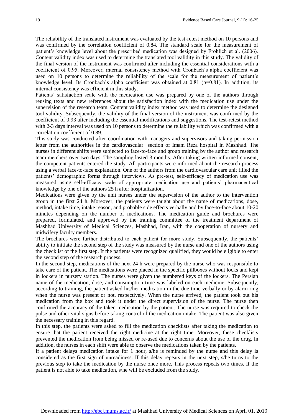The reliability of the translated instrument was evaluated by the test-retest method on 10 persons and was confirmed by the correlation coefficient of 0.84. The standard scale for the measurement of patient's knowledge level about the prescribed medication was designed by Frohlich et al. (2006). Content validity index was used to determine the translated tool validity in this study. The validity of the final version of the instrument was confirmed after including the essential considerations with a coefficient of 0.95. Moreover, internal consistency method with Cronbach's alpha coefficient was used on 10 persons to determine the reliability of the scale for the measurement of patient's knowledge level. Its Cronbach's alpha coefficient was obtained at 0.81 ( $\alpha$ =0.81). In addition, its internal consistency was efficient in this study.

Patients' satisfaction scale with the medication use was prepared by one of the authors through reusing texts and new references about the satisfaction index with the medication use under the supervision of the research team. Content validity index method was used to determine the designed tool validity. Subsequently, the validity of the final version of the instrument was confirmed by the coefficient of 0.93 after including the essential modifications and suggestions. The test-retest method with 2-3 days interval was used on 10 persons to determine the reliability which was confirmed with a correlation coefficient of 0.89.

This study was conducted after coordination with managers and supervisors and taking permission letter from the authorities in the cardiovascular section of Imam Reza hospital in Mashhad. The nurses in different shifts were subjected to face-to-face and group training by the author and research team members over two days. The sampling lasted 3 months. After taking written informed consent, the competent patients entered the study. All participants were informed about the research process using a verbal face-to-face explanation. One of the authors from the cardiovascular care unit filled the patients' demographic forms through interviews. As pre-test, self-efficacy of medication use was measured using self-efficacy scale of appropriate medication use and patients' pharmaceutical knowledge by one of the authors 25 h after hospitalization.

Medications were given by the unit nurses under the supervision of the author to the intervention group in the first 24 h. Moreover, the patients were taught about the name of medications, dose, method, intake time, intake reason, and probable side effects verbally and by face-to-face about 10-20 minutes depending on the number of medications. The medication guide and brochures were prepared, formulated, and approved by the training committee of the treatment department of Mashhad University of Medical Sciences, Mashhad, Iran, with the cooperation of nursery and midwifery faculty members.

The brochures were further distributed to each patient for more study. Subsequently, the patients' ability to initiate the second step of the study was measured by the nurse and one of the authors using the checklist of the first step. If the patients were recognized qualified, they would be eligible to enter the second step of the research process.

In the second step, medications of the next 24 h were prepared by the nurse who was responsible to take care of the patient. The medications were placed in the specific pillboxes without locks and kept in lockers in nursery station. The nurses were given the numbered keys of the lockers. The Persian name of the medication, dose, and consumption time was labeled on each medicine. Subsequently, according to training, the patient asked his/her medication in the due time verbally or by alarm ring when the nurse was present or not, respectively. When the nurse arrived, the patient took out his medication from the box and took it under the direct supervision of the nurse. The nurse then confirmed the accuracy of the taken medication by the patient. The nurse was required to check the pulse and other vital signs before taking control of the medication intake. The patient was also given the necessary training in this regard.

In this step, the patients were asked to fill the medication checklists after taking the medication to ensure that the patient received the right medicine at the right time. Moreover, these checklists prevented the medication from being missed or re-used due to concerns about the use of the drug. In addition, the nurses in each shift were able to observe the medications taken by the patients.

If a patient delays medication intake for 1 hour, s/he is reminded by the nurse and this delay is considered as the first sign of unreadiness. If this delay repeats in the next step, s/he turns to the previous step to take the medication by the nurse once more. This process repeats two times. If the patient is not able to take medication, s/he will be excluded from the study.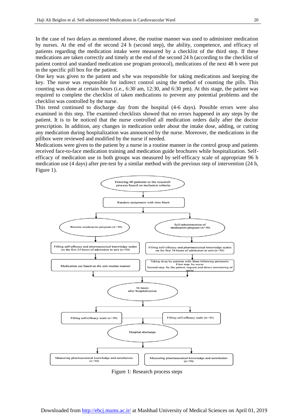In the case of two delays as mentioned above, the routine manner was used to administer medication by nurses. At the end of the second 24 h (second step), the ability, competence, and efficacy of patients regarding the medication intake were measured by a checklist of the third step. If these medications are taken correctly and timely at the end of the second 24 h (according to the checklist of patient control and standard medication use program protocol), medications of the next 48 h were put in the specific pill box for the patient.

One key was given to the patient and s/he was responsible for taking medications and keeping the key. The nurse was responsible for indirect control using the method of counting the pills. This counting was done at certain hours (i.e., 6:30 am, 12:30, and 6:30 pm). At this stage, the patient was required to complete the checklist of taken medications to prevent any potential problems and the checklist was controlled by the nurse.

This trend continued to discharge day from the hospital (4-6 days). Possible errors were also examined in this step. The examined checklists showed that no errors happened in any steps by the patient. It is to be noticed that the nurse controlled all medication orders daily after the doctor prescription. In addition, any changes in medication order about the intake dose, adding, or cutting any medication during hospitalization was announced by the nurse. Moreover, the medications in the pillbox were reviewed and modified by the nurse if needed.

Medications were given to the patient by a nurse in a routine manner in the control group and patients received face-to-face medication training and medication guide brochures while hospitalization. Selfefficacy of medication use in both groups was measured by self-efficacy scale of appropriate 96 h medication use (4 days) after pre-test by a similar method with the previous step of intervention (24 h, Figure 1).



Figure 1: Research process steps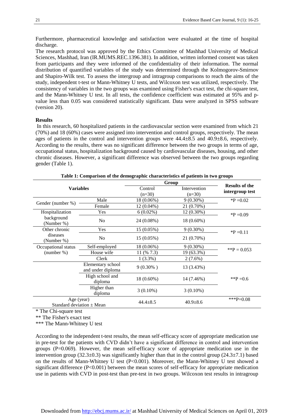Furthermore, pharmaceutical knowledge and satisfaction were evaluated at the time of hospital discharge.

The research protocol was approved by the Ethics Committee of Mashhad University of Medical Sciences, Mashhad, Iran (IR.MUMS.REC.1396.381). In addition, written informed consent was taken from participants and they were informed of the confidentiality of their information. The normal distribution of quantified variables of the study was determined through the Kolmogorov-Smirnov and Shapiro-Wilk test. To assess the intergroup and intragroup comparisons to reach the aims of the study, independent t-test or Mann-Whitney U tests, and Wilcoxon test was utilized, respectively. The consistency of variables in the two groups was examined using Fisher's exact test, the chi-square test, and the Mann-Whitney U test. In all tests, the confidence coefficient was estimated at 95% and pvalue less than 0.05 was considered statistically significant. Data were analyzed in SPSS software (version 20).

### **Results**

In this research, 60 hospitalized patients in the cardiovascular section were examined from which 21 (70%) and 18 (60%) cases were assigned into intervention and control groups, respectively. The mean ages of patients in the control and intervention groups were  $44.4\pm8.5$  and  $40.9\pm8.6$ , respectively. According to the results, there was no significant difference between the two groups in terms of age, occupational status, hospitalization background caused by cardiovascular diseases, housing, and other chronic diseases. However, a significant difference was observed between the two groups regarding gender (Table 1).

| Table 1. Comparison of the actinographic enaracteristics of patients in two groups |                                        |                |                |                       |  |  |  |
|------------------------------------------------------------------------------------|----------------------------------------|----------------|----------------|-----------------------|--|--|--|
| <b>Variables</b>                                                                   |                                        | Group          |                | <b>Results of the</b> |  |  |  |
|                                                                                    |                                        | Control        | Intervention   |                       |  |  |  |
|                                                                                    |                                        | $(n=30)$       | $(n=30)$       | intergroup test       |  |  |  |
| Gender (number %)                                                                  | Male                                   | 18 (0.06%)     | $9(0.30\%)$    | $*P = 0.02$           |  |  |  |
|                                                                                    | Female                                 | 12 (0.04%)     | 21 (0.70%)     |                       |  |  |  |
| Hospitalization                                                                    | Yes                                    | $6(0.02\%)$    | $12(0.30\%)$   | $P = 0.09$            |  |  |  |
| background<br>(Number %)                                                           | N <sub>o</sub>                         | 24 (0.08%)     | $18(0.60\%)$   |                       |  |  |  |
| Other chronic                                                                      | Yes                                    | 15 (0.05%)     | $9(0.30\%)$    | $*P = 0.11$           |  |  |  |
| diseases<br>(Number %)                                                             | N <sub>o</sub>                         | $15(0.05\%)$   | 21 (0.70%)     |                       |  |  |  |
| Occupational status                                                                | Self-employed                          | 18 (0.06%)     | $9(0.30\%)$    | ** $P = 0.053$        |  |  |  |
| ${\rm (number\,\%)}$                                                               | House wife                             | 11 $(% 7.3)$   | 19 (63.3%)     |                       |  |  |  |
|                                                                                    | Clerk                                  | $1(3.3\%)$     | $2(7.6\%)$     |                       |  |  |  |
|                                                                                    | Elementary school<br>and under diploma | $9(0.30\%)$    | 13 (3.43%)     |                       |  |  |  |
|                                                                                    | High school and<br>diploma             | 18 (0.60%)     | 14 (7.46%)     | **P = 0.6             |  |  |  |
|                                                                                    | Higher than<br>diploma                 | $3(0.10\%)$    | $3(0.10\%)$    |                       |  |  |  |
| Age (year)<br>Standard deviation $\pm$ Mean                                        |                                        | $44.4 \pm 8.5$ | $40.9 \pm 8.6$ | *** $P=0.08$          |  |  |  |

**Table 1: Comparison of the demographic characteristics of patients in two groups**

\* The Chi-square test

\*\* The Fisher's exact test

\*\*\* The Mann-Whitney U test

According to the independent t-test results, the mean self-efficacy score of appropriate medication use in pre-test for the patients with CVD didn't have a significant difference in control and intervention groups  $(P=0.069)$ . However, the mean self-efficacy score of appropriate medication use in the intervention group (32.3±0.3) was significantly higher than that in the control group (24.3±7.1) based on the results of Mann-Whitney U test (P<0.001). Moreover, the Mann-Whitney U test showed a significant difference (P<0.001) between the mean scores of self-efficacy for appropriate medication use in patients with CVD in post-test than pre-test in two groups. Wilcoxon test results in intragroup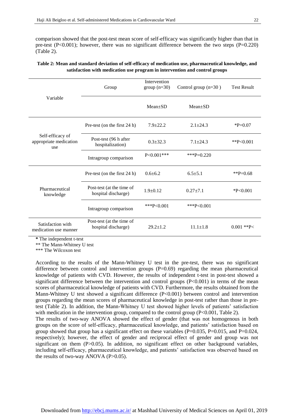comparison showed that the post-test mean score of self-efficacy was significantly higher than that in pre-test (P<0.001); however, there was no significant difference between the two steps (P=0.220) (Table 2).

|                                                   | Group                                            | Intervention<br>$group (n=30)$ | Control group (n=30) | <b>Test Result</b> |
|---------------------------------------------------|--------------------------------------------------|--------------------------------|----------------------|--------------------|
| Variable                                          |                                                  | $Mean+SD$                      | $Mean \pm SD$        |                    |
| Self-efficacy of<br>appropriate medication<br>use | Pre-test (on the first 24 h)                     | $7.9 + 22.2$                   | $2.1 + 24.3$         | $P=0.07$           |
|                                                   | Post-test (96 h after<br>hospitalization)        | $0.3 + 32.3$                   | $7.1 + 24.3$         | ** $P< 0.001$      |
|                                                   | Intragroup comparison                            | $P<0.001***$                   | ***P=0.220           |                    |
| Pharmaceutical<br>knowledge                       | Pre-test (on the first 24 h)                     | $0.6 + 6.2$                    | $6.5 + 5.1$          | **P=0.68           |
|                                                   | Post-test (at the time of<br>hospital discharge) | $1.9+0.12$                     | $0.27 + 7.1$         | $*P<0.001$         |
|                                                   | Intragroup comparison                            | ***P< $0.001$                  | ***P< $0.001$        |                    |
| Satisfaction with<br>medication use manner        | Post-test (at the time of<br>hospital discharge) | $29.2 \pm 1.2$                 | $11.1 \pm 1.8$       | $0.001$ **P<       |

# **Table 2: Mean and standard deviation of self-efficacy of medication use, pharmaceutical knowledge, and satisfaction with medication use program in intervention and control groups**

**\*** The independent t-test

\*\* The Mann-Whitney U test

\*\*\* The Wilcoxon test

According to the results of the Mann-Whitney U test in the pre-test, there was no significant difference between control and intervention groups  $(P=0.69)$  regarding the mean pharmaceutical knowledge of patients with CVD. However, the results of independent t-test in post-test showed a significant difference between the intervention and control groups  $(P<0.001)$  in terms of the mean scores of pharmaceutical knowledge of patients with CVD. Furthermore, the results obtained from the Mann-Whitney U test showed a significant difference (P<0.001) between control and intervention groups regarding the mean scores of pharmaceutical knowledge in post-test rather than those in pretest (Table 2). In addition, the Mann-Whitney U test showed higher levels of patients' satisfaction with medication in the intervention group, compared to the control group (P<0.001, Table 2).

The results of two-way ANOVA showed the effect of gender (that was not homogenous in both groups on the score of self-efficacy, pharmaceutical knowledge, and patients' satisfaction based on group showed that group has a significant effect on these variables ( $P=0.035$ ,  $P=0.015$ , and  $P=0.024$ , respectively); however, the effect of gender and reciprocal effect of gender and group was not significant on them  $(P>0.05)$ . In addition, no significant effect on other background variables, including self-efficacy, pharmaceutical knowledge, and patients' satisfaction was observed based on the results of two-way ANOVA  $(P>0.05)$ .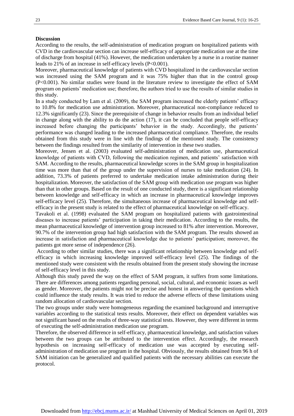#### **Discussion**

According to the results, the self-administration of medication program on hospitalized patients with CVD in the cardiovascular section can increase self-efficacy of appropriate medication use at the time of discharge from hospital (41%). However, the medication undertaken by a nurse in a routine manner leads to 21% of an increase in self-efficacy levels (P<0.001).

Moreover, pharmaceutical knowledge of patients with CVD hospitalized in the cardiovascular section was increased using the SAM program and it was 75% higher than that in the control group (P<0.001). No similar studies were found in the literature review to investigate the effect of SAM program on patients' medication use; therefore, the authors tried to use the results of similar studies in this study.

In a study conducted by Lam et al. (2009), the SAM program increased the elderly patients' efficacy to 10.8% for medication use administration. Moreover, pharmaceutical non-compliance reduced to 12.3% significantly (23). Since the prerequisite of change in behavior results from an individual belief in change along with the ability to do the action (17), it can be concluded that people self-efficacy increased before changing the participants' behavior in the study. Accordingly, the patients' performance was changed leading to the increased pharmaceutical compliance. Therefore, the results obtained from this study were in line with the findings of the mentioned study. The consistency between the findings resulted from the similarity of intervention in these two studies.

Moreover, Jensen et al. (2003) evaluated self-administration of medication use, pharmaceutical knowledge of patients with CVD, following the medication regimen, and patients' satisfaction with SAM. According to the results, pharmaceutical knowledge scores in the SAM group in hospitalization time was more than that of the group under the supervision of nurses to take medication (24). In addition, 73.3% of patients preferred to undertake medication intake administration during their hospitalization. Moreover, the satisfaction of the SAM group with medication use program was higher than that in other groups. Based on the result of one conducted study, there is a significant relationship between knowledge and self-efficacy in which an increase in pharmaceutical knowledge improves self-efficacy level (25). Therefore, the simultaneous increase of pharmaceutical knowledge and selfefficacy in the present study is related to the effect of pharmaceutical knowledge on self-efficacy.

Tavakoli et al. (1998) evaluated the SAM program on hospitalized patients with gastrointestinal diseases to increase patients' participation in taking their medication. According to the results, the mean pharmaceutical knowledge of intervention group increased to 81% after intervention. Moreover, 90.7% of the intervention group had high satisfaction with the SAM program. The results showed an increase in satisfaction and pharmaceutical knowledge due to patients' participation; moreover, the patients got more sense of independence (26).

According to other similar studies, there was a significant relationship between knowledge and selfefficacy in which increasing knowledge improved self-efficacy level (25). The findings of the mentioned study were consistent with the results obtained from the present study showing the increase of self-efficacy level in this study.

Although this study paved the way on the effect of SAM program, it suffers from some limitations. There are differences among patients regarding personal, social, cultural, and economic issues as well as gender. Moreover, the patients might not be precise and honest in answering the questions which could influence the study results. It was tried to reduce the adverse effects of these limitations using random allocation of cardiovascular section.

The two groups under study were homogeneous regarding the examined background and interruptive variables according to the statistical tests results. Moreover, their effect on dependent variables was not significant based on the results of three-way statistical tests. However, they were different in terms of executing the self-administration medication use program.

Therefore, the observed difference in self-efficacy, pharmaceutical knowledge, and satisfaction values between the two groups can be attributed to the intervention effect. Accordingly, the research hypothesis on increasing self-efficacy of medication use was accepted by executing selfadministration of medication use program in the hospital. Obviously, the results obtained from 96 h of SAM initiation can be generalized and qualified patients with the necessary abilities can execute the protocol.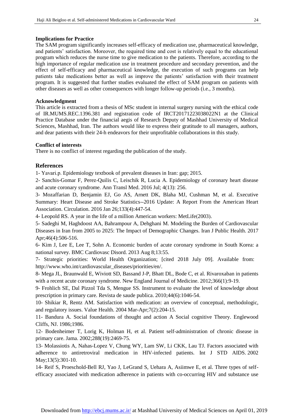# **Implications for Practice**

The SAM program significantly increases self-efficacy of medication use, pharmaceutical knowledge, and patients' satisfaction. Moreover, the required time and cost is relatively equal to the educational program which reduces the nurse time to give medication to the patients. Therefore, according to the high importance of regular medication use in treatment procedure and secondary prevention, and the effect of self-efficacy and pharmaceutical knowledge, the execution of such programs can help patients take medications better as well as improve the patients' satisfaction with their treatment program. It is suggested that further studies evaluated the effect of SAM program on patients with other diseases as well as other consequences with longer follow-up periods (i.e., 3 months).

# **Acknowledgment**

This article is extracted from a thesis of MSc student in internal surgery nursing with the ethical code of IR.MUMS.REC.1396.381 and registration code of IRCT20171223038022N1 at the Clinical Practice Database under the financial aegis of Research Deputy of Mashhad University of Medical Sciences, Mashhad, Iran. The authors would like to express their gratitude to all managers, authors, and dear patients with their 24-h endeavors for their unprofitable collaborations in this study.

### **Conflict of interests**

There is no conflict of interest regarding the publication of the study.

# **References**

1- Yavari.p. Epidemiology textbook of prevalent diseases in Iran: gap; 2015.

2- Sanchis-Gomar F, Perez-Quilis C, Leischik R, Lucia A. Epidemiology of coronary heart disease and acute coronary syndrome. [Ann Transl Med.](https://www.ncbi.nlm.nih.gov/pmc/articles/PMC4958723/) 2016 Jul; 4(13): 256.

3- Mozaffarian D, Benjamin EJ, Go AS, Arnett DK, Blaha MJ, Cushman M, et al. Executive Summary: Heart Disease and Stroke Statistics--2016 Update: A Report From the American Heart Association. [Circulation.](https://www.ncbi.nlm.nih.gov/pubmed/26811276) 2016 Jan 26;133(4):447-54.

4- Leopold RS. A year in the life of a million American workers: MetLife(2003).

5- Sadeghi M, Haghdoost AA, Bahrampour A, Dehghani M. Modeling the Burden of Cardiovascular Diseases in Iran from 2005 to 2025: The Impact of Demographic Changes. Iran [J Public Health.](https://www.ncbi.nlm.nih.gov/pubmed/?term=Modeling+the+Burden+of+Cardiovascular+Diseases+in+Iran+from+2005+to+2025%3A+The+Impact+of+Demographic+Changes) 2017 Apr;46(4):506-516.

6- Kim J, Lee E, Lee T, Sohn A. Economic burden of acute coronary syndrome in South Korea: a national survey. [BMC Cardiovasc Disord.](https://www.ncbi.nlm.nih.gov/pubmed/?term=Economic+burden+of+acute+coronary+syndrome+in+South+Korea%3A+a+national+survey) 2013 Aug 8;13:55.

7- Strategic priorities: World Health Organization; [cited 2018 July 09]. Available from[:](http://www.who.int/cardiovascular_diseases/priorities/en/) [http://www.who.int/cardiovascular\\_diseases/priorities/en/.](http://www.who.int/cardiovascular_diseases/priorities/en/)

8- Mega JL, Braunwald E, Wiviott SD, Bassand J-P, Bhatt DL, Bode C, et al. Rivaroxaban in patients with a recent acute coronary syndrome. New England Journal of Medicine. 2012;366(1):9-19.

9- Frohlich SE, Dal Pizzol Tda S, Mengue SS. Instrument to evaluate the level of knowledge about prescription in primary care. Revista de saude publica. 2010;44(6):1046-54.

10- Shikiar R, Rentz AM. Satisfaction with medication: an overview of conceptual, methodologic, and regulatory issues. Value Health. 2004 Mar-Apr;7(2):204-15.

11- Bandura A. Social foundations of thought and action A Social cognitive Theory. Englewood Cliffs, NJ. 1986;1986.

12- Bodenheimer T, Lorig K, Holman H, et al. Patient self-administration of chronic disease in primary care. Jama. 2002;288(19):2469-75.

13- Molassiotis A, Nahas-Lopez V, Chung WY, Lam SW, Li CKK, Lau TJ. Factors associated with adherence to antiretroviral medication in HIV-infected patients. [Int J STD AIDS.](https://www.ncbi.nlm.nih.gov/pubmed/11972933) 2002 May;13(5):301-10.

14- Reif S, Proeschold-Bell RJ, Yao J, LeGrand S, Uehara A, Asiimwe E, et al. Three types of selfefficacy associated with medication adherence in patients with co-occurring HIV and substance use